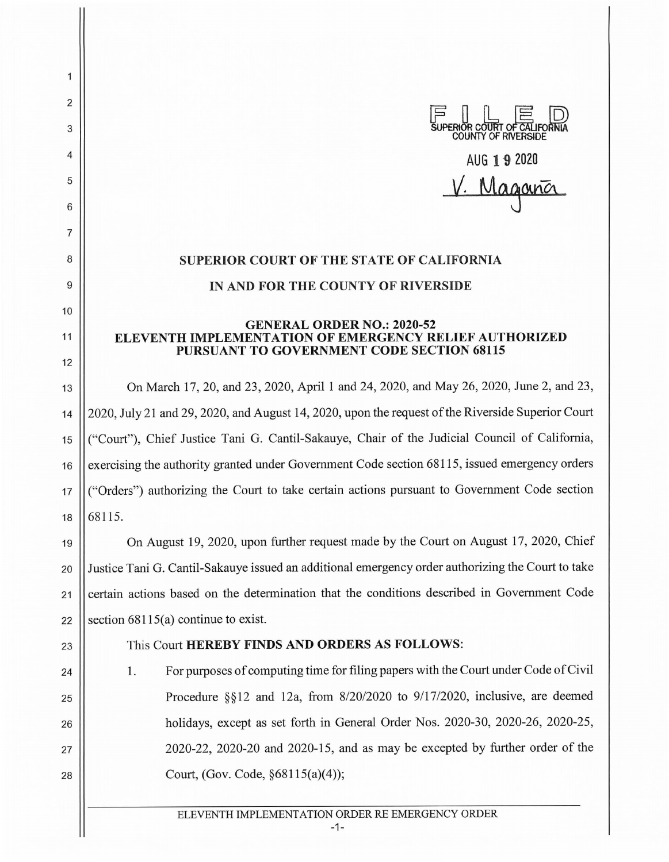

## **SUPERIOR COURT OF THE STATE OF CALIFORNIA IN AND FOR THE COUNTY OF RIVERSIDE**

## **GENERAL ORDER NO.: 2020-52 ELEVENTH IMPLEMENTATION OF EMERGENCY RELIEF AUTHORIZED PURSUANT TO GOVERNMENT CODE SECTION 68115**

13 On March 17, 20, and 23, 2020, April 1 and 24, 2020, and May 26, 2020, June 2, and 23, 14 2020, July 21 and 29, 2020, and August 14, 2020, upon the request of the Riverside Superior Court <sup>15</sup>("Court"), Chief Justice Tani G. Cantil-Sakauye, Chair of the Judicial Council of California, 16 | exercising the authority granted under Government Code section 68115, issued emergency orders 17 ("Orders") authorizing the Court to take certain actions pursuant to Government Code section  $18 \mid 68115.$ 

19 On August 19, 2020, upon further request made by the Court on August 17, 2020, Chief 20 Justice Tani G. Cantil-Sakauye issued an additional emergency order authorizing the Court to take 21 | certain actions based on the determination that the conditions described in Government Code 22 Section  $68115(a)$  continue to exist.

24

25

26

27

28

2

1

3

4

5

6

7

8

9

10

11

12

## 23 This Court **HEREBY FINDS AND ORDERS AS FOLLOWS:**

1. For purposes of computing time for filing papers with the Court under Code of Civil Procedure §§12 and 12a, from 8/20/2020 to 9/17/2020, inclusive, are deemed holidays, except as set forth in General Order Nos. 2020-30, 2020-26, 2020-25, 2020-22, 2020-20 and 2020-15, and as may be excepted by further order of the Court, (Gov. Code, §68115(a)(4));